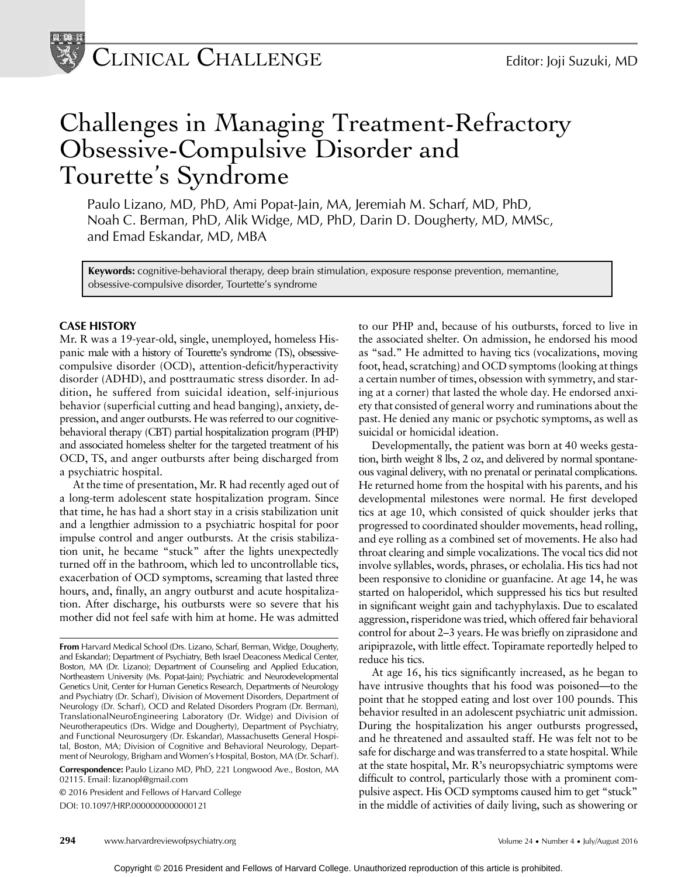

# CLINICAL CHALLENGE Editor: Joji Suzuki, MD

# Challenges in Managing Treatment-Refractory Obsessive-Compulsive Disorder and Tourette's Syndrome

Paulo Lizano, MD, PhD, Ami Popat-Jain, MA, Jeremiah M. Scharf, MD, PhD, Noah C. Berman, PhD, Alik Widge, MD, PhD, Darin D. Dougherty, MD, MMSc, and Emad Eskandar, MD, MBA

Keywords: cognitive-behavioral therapy, deep brain stimulation, exposure response prevention, memantine, obsessive-compulsive disorder, Tourtette's syndrome

## CASE HISTORY

Mr. R was a 19-year-old, single, unemployed, homeless Hispanic male with a history of Tourette's syndrome (TS), obsessivecompulsive disorder (OCD), attention-deficit/hyperactivity disorder (ADHD), and posttraumatic stress disorder. In addition, he suffered from suicidal ideation, self-injurious behavior (superficial cutting and head banging), anxiety, depression, and anger outbursts. He was referred to our cognitivebehavioral therapy (CBT) partial hospitalization program (PHP) and associated homeless shelter for the targeted treatment of his OCD, TS, and anger outbursts after being discharged from a psychiatric hospital.

At the time of presentation, Mr. R had recently aged out of a long-term adolescent state hospitalization program. Since that time, he has had a short stay in a crisis stabilization unit and a lengthier admission to a psychiatric hospital for poor impulse control and anger outbursts. At the crisis stabilization unit, he became "stuck" after the lights unexpectedly turned off in the bathroom, which led to uncontrollable tics, exacerbation of OCD symptoms, screaming that lasted three hours, and, finally, an angry outburst and acute hospitalization. After discharge, his outbursts were so severe that his mother did not feel safe with him at home. He was admitted

Correspondence: Paulo Lizano MD, PhD, 221 Longwood Ave., Boston, MA 02115. Email: lizanopl@gmail.com

© 2016 President and Fellows of Harvard College

DOI: 10.1097/HRP.0000000000000121

to our PHP and, because of his outbursts, forced to live in the associated shelter. On admission, he endorsed his mood as "sad." He admitted to having tics (vocalizations, moving foot, head, scratching) and OCD symptoms (looking at things a certain number of times, obsession with symmetry, and staring at a corner) that lasted the whole day. He endorsed anxiety that consisted of general worry and ruminations about the past. He denied any manic or psychotic symptoms, as well as suicidal or homicidal ideation.

Developmentally, the patient was born at 40 weeks gestation, birth weight 8 lbs, 2 oz, and delivered by normal spontaneous vaginal delivery, with no prenatal or perinatal complications. He returned home from the hospital with his parents, and his developmental milestones were normal. He first developed tics at age 10, which consisted of quick shoulder jerks that progressed to coordinated shoulder movements, head rolling, and eye rolling as a combined set of movements. He also had throat clearing and simple vocalizations. The vocal tics did not involve syllables, words, phrases, or echolalia. His tics had not been responsive to clonidine or guanfacine. At age 14, he was started on haloperidol, which suppressed his tics but resulted in significant weight gain and tachyphylaxis. Due to escalated aggression, risperidone was tried, which offered fair behavioral control for about 2–3 years. He was briefly on ziprasidone and aripiprazole, with little effect. Topiramate reportedly helped to reduce his tics.

At age 16, his tics significantly increased, as he began to have intrusive thoughts that his food was poisoned—to the point that he stopped eating and lost over 100 pounds. This behavior resulted in an adolescent psychiatric unit admission. During the hospitalization his anger outbursts progressed, and he threatened and assaulted staff. He was felt not to be safe for discharge and was transferred to a state hospital. While at the state hospital, Mr. R's neuropsychiatric symptoms were difficult to control, particularly those with a prominent compulsive aspect. His OCD symptoms caused him to get "stuck" in the middle of activities of daily living, such as showering or

From Harvard Medical School (Drs. Lizano, Scharf, Berman, Widge, Dougherty, and Eskandar); Department of Psychiatry, Beth Israel Deaconess Medical Center, Boston, MA (Dr. Lizano); Department of Counseling and Applied Education, Northeastern University (Ms. Popat-Jain); Psychiatric and Neurodevelopmental Genetics Unit, Center for Human Genetics Research, Departments of Neurology and Psychiatry (Dr. Scharf), Division of Movement Disorders, Department of Neurology (Dr. Scharf), OCD and Related Disorders Program (Dr. Berman), TranslationalNeuroEngineering Laboratory (Dr. Widge) and Division of Neurotherapeutics (Drs. Widge and Dougherty), Department of Psychiatry, and Functional Neurosurgery (Dr. Eskandar), Massachusetts General Hospital, Boston, MA; Division of Cognitive and Behavioral Neurology, Department of Neurology, Brigham and Women's Hospital, Boston, MA (Dr. Scharf).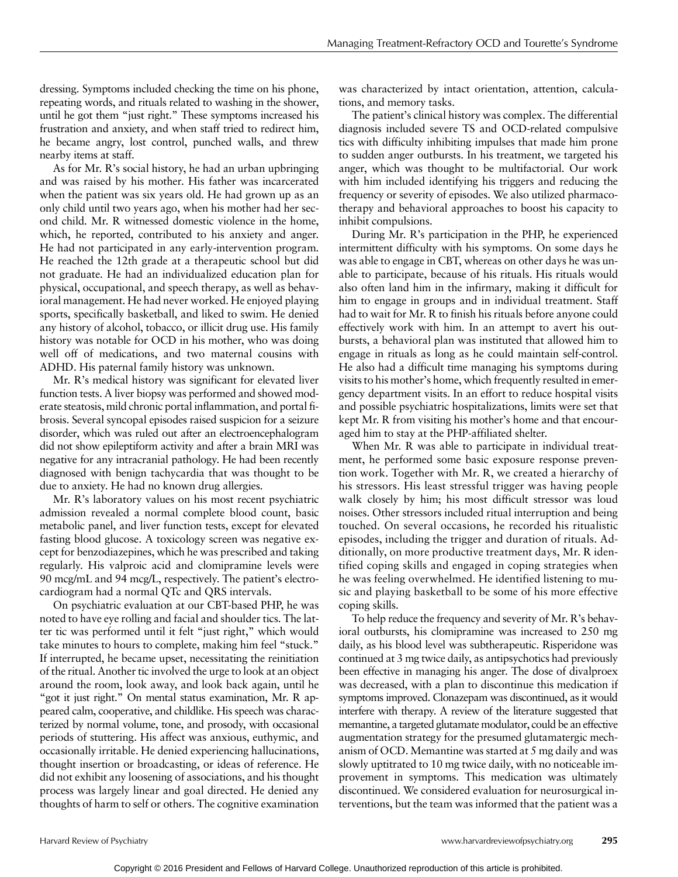dressing. Symptoms included checking the time on his phone, repeating words, and rituals related to washing in the shower, until he got them "just right." These symptoms increased his frustration and anxiety, and when staff tried to redirect him, he became angry, lost control, punched walls, and threw nearby items at staff.

As for Mr. R's social history, he had an urban upbringing and was raised by his mother. His father was incarcerated when the patient was six years old. He had grown up as an only child until two years ago, when his mother had her second child. Mr. R witnessed domestic violence in the home, which, he reported, contributed to his anxiety and anger. He had not participated in any early-intervention program. He reached the 12th grade at a therapeutic school but did not graduate. He had an individualized education plan for physical, occupational, and speech therapy, as well as behavioral management. He had never worked. He enjoyed playing sports, specifically basketball, and liked to swim. He denied any history of alcohol, tobacco, or illicit drug use. His family history was notable for OCD in his mother, who was doing well off of medications, and two maternal cousins with ADHD. His paternal family history was unknown.

Mr. R's medical history was significant for elevated liver function tests. A liver biopsy was performed and showed moderate steatosis, mild chronic portal inflammation, and portal fibrosis. Several syncopal episodes raised suspicion for a seizure disorder, which was ruled out after an electroencephalogram did not show epileptiform activity and after a brain MRI was negative for any intracranial pathology. He had been recently diagnosed with benign tachycardia that was thought to be due to anxiety. He had no known drug allergies.

Mr. R's laboratory values on his most recent psychiatric admission revealed a normal complete blood count, basic metabolic panel, and liver function tests, except for elevated fasting blood glucose. A toxicology screen was negative except for benzodiazepines, which he was prescribed and taking regularly. His valproic acid and clomipramine levels were 90 mcg/mL and 94 mcg/L, respectively. The patient's electrocardiogram had a normal QTc and QRS intervals.

On psychiatric evaluation at our CBT-based PHP, he was noted to have eye rolling and facial and shoulder tics. The latter tic was performed until it felt "just right," which would take minutes to hours to complete, making him feel "stuck." If interrupted, he became upset, necessitating the reinitiation of the ritual. Another tic involved the urge to look at an object around the room, look away, and look back again, until he "got it just right." On mental status examination, Mr. R appeared calm, cooperative, and childlike. His speech was characterized by normal volume, tone, and prosody, with occasional periods of stuttering. His affect was anxious, euthymic, and occasionally irritable. He denied experiencing hallucinations, thought insertion or broadcasting, or ideas of reference. He did not exhibit any loosening of associations, and his thought process was largely linear and goal directed. He denied any thoughts of harm to self or others. The cognitive examination

was characterized by intact orientation, attention, calculations, and memory tasks.

The patient's clinical history was complex. The differential diagnosis included severe TS and OCD-related compulsive tics with difficulty inhibiting impulses that made him prone to sudden anger outbursts. In his treatment, we targeted his anger, which was thought to be multifactorial. Our work with him included identifying his triggers and reducing the frequency or severity of episodes. We also utilized pharmacotherapy and behavioral approaches to boost his capacity to inhibit compulsions.

During Mr. R's participation in the PHP, he experienced intermittent difficulty with his symptoms. On some days he was able to engage in CBT, whereas on other days he was unable to participate, because of his rituals. His rituals would also often land him in the infirmary, making it difficult for him to engage in groups and in individual treatment. Staff had to wait for Mr. R to finish his rituals before anyone could effectively work with him. In an attempt to avert his outbursts, a behavioral plan was instituted that allowed him to engage in rituals as long as he could maintain self-control. He also had a difficult time managing his symptoms during visits to his mother's home, which frequently resulted in emergency department visits. In an effort to reduce hospital visits and possible psychiatric hospitalizations, limits were set that kept Mr. R from visiting his mother's home and that encouraged him to stay at the PHP-affiliated shelter.

When Mr. R was able to participate in individual treatment, he performed some basic exposure response prevention work. Together with Mr. R, we created a hierarchy of his stressors. His least stressful trigger was having people walk closely by him; his most difficult stressor was loud noises. Other stressors included ritual interruption and being touched. On several occasions, he recorded his ritualistic episodes, including the trigger and duration of rituals. Additionally, on more productive treatment days, Mr. R identified coping skills and engaged in coping strategies when he was feeling overwhelmed. He identified listening to music and playing basketball to be some of his more effective coping skills.

To help reduce the frequency and severity of Mr. R's behavioral outbursts, his clomipramine was increased to 250 mg daily, as his blood level was subtherapeutic. Risperidone was continued at 3 mg twice daily, as antipsychotics had previously been effective in managing his anger. The dose of divalproex was decreased, with a plan to discontinue this medication if symptoms improved. Clonazepam was discontinued, as it would interfere with therapy. A review of the literature suggested that memantine, a targeted glutamate modulator, could be an effective augmentation strategy for the presumed glutamatergic mechanism of OCD. Memantine was started at 5 mg daily and was slowly uptitrated to 10 mg twice daily, with no noticeable improvement in symptoms. This medication was ultimately discontinued. We considered evaluation for neurosurgical interventions, but the team was informed that the patient was a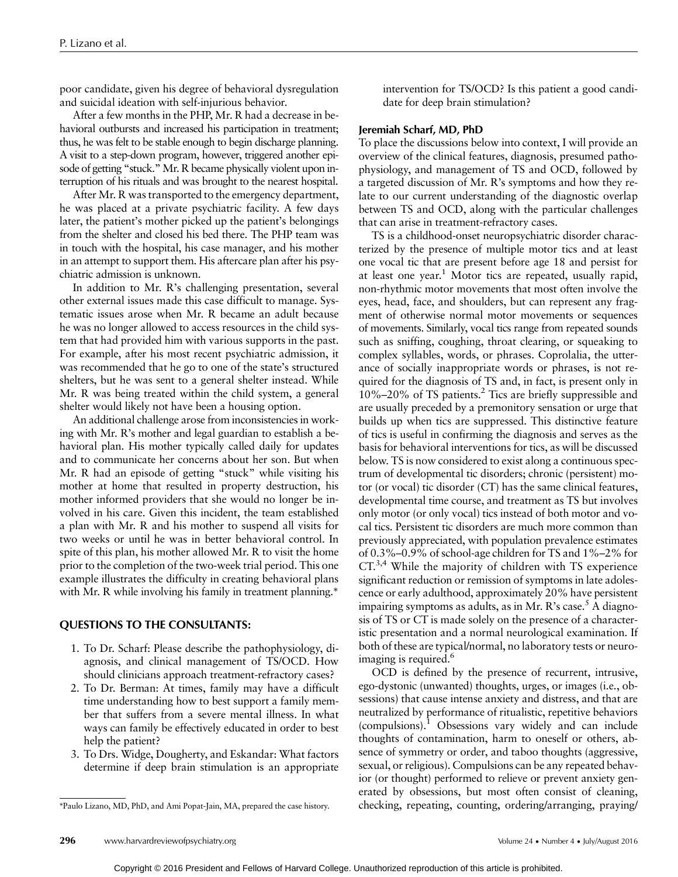poor candidate, given his degree of behavioral dysregulation and suicidal ideation with self-injurious behavior.

After a few months in the PHP, Mr. R had a decrease in behavioral outbursts and increased his participation in treatment; thus, he was felt to be stable enough to begin discharge planning. A visit to a step-down program, however, triggered another episode of getting "stuck." Mr. R became physically violent upon interruption of his rituals and was brought to the nearest hospital.

After Mr. R was transported to the emergency department, he was placed at a private psychiatric facility. A few days later, the patient's mother picked up the patient's belongings from the shelter and closed his bed there. The PHP team was in touch with the hospital, his case manager, and his mother in an attempt to support them. His aftercare plan after his psychiatric admission is unknown.

In addition to Mr. R's challenging presentation, several other external issues made this case difficult to manage. Systematic issues arose when Mr. R became an adult because he was no longer allowed to access resources in the child system that had provided him with various supports in the past. For example, after his most recent psychiatric admission, it was recommended that he go to one of the state's structured shelters, but he was sent to a general shelter instead. While Mr. R was being treated within the child system, a general shelter would likely not have been a housing option.

An additional challenge arose from inconsistencies in working with Mr. R's mother and legal guardian to establish a behavioral plan. His mother typically called daily for updates and to communicate her concerns about her son. But when Mr. R had an episode of getting "stuck" while visiting his mother at home that resulted in property destruction, his mother informed providers that she would no longer be involved in his care. Given this incident, the team established a plan with Mr. R and his mother to suspend all visits for two weeks or until he was in better behavioral control. In spite of this plan, his mother allowed Mr. R to visit the home prior to the completion of the two-week trial period. This one example illustrates the difficulty in creating behavioral plans with Mr. R while involving his family in treatment planning.\*

#### QUESTIONS TO THE CONSULTANTS:

- 1. To Dr. Scharf: Please describe the pathophysiology, diagnosis, and clinical management of TS/OCD. How should clinicians approach treatment-refractory cases?
- 2. To Dr. Berman: At times, family may have a difficult time understanding how to best support a family member that suffers from a severe mental illness. In what ways can family be effectively educated in order to best help the patient?
- 3. To Drs. Widge, Dougherty, and Eskandar: What factors determine if deep brain stimulation is an appropriate

intervention for TS/OCD? Is this patient a good candidate for deep brain stimulation?

#### Jeremiah Scharf, MD, PhD

To place the discussions below into context, I will provide an overview of the clinical features, diagnosis, presumed pathophysiology, and management of TS and OCD, followed by a targeted discussion of Mr. R's symptoms and how they relate to our current understanding of the diagnostic overlap between TS and OCD, along with the particular challenges that can arise in treatment-refractory cases.

TS is a childhood-onset neuropsychiatric disorder characterized by the presence of multiple motor tics and at least one vocal tic that are present before age 18 and persist for at least one year.<sup>1</sup> Motor tics are repeated, usually rapid, non-rhythmic motor movements that most often involve the eyes, head, face, and shoulders, but can represent any fragment of otherwise normal motor movements or sequences of movements. Similarly, vocal tics range from repeated sounds such as sniffing, coughing, throat clearing, or squeaking to complex syllables, words, or phrases. Coprolalia, the utterance of socially inappropriate words or phrases, is not required for the diagnosis of TS and, in fact, is present only in  $10\% - 20\%$  of TS patients.<sup>2</sup> Tics are briefly suppressible and are usually preceded by a premonitory sensation or urge that builds up when tics are suppressed. This distinctive feature of tics is useful in confirming the diagnosis and serves as the basis for behavioral interventions for tics, as will be discussed below. TS is now considered to exist along a continuous spectrum of developmental tic disorders; chronic (persistent) motor (or vocal) tic disorder (CT) has the same clinical features, developmental time course, and treatment as TS but involves only motor (or only vocal) tics instead of both motor and vocal tics. Persistent tic disorders are much more common than previously appreciated, with population prevalence estimates of 0.3%–0.9% of school-age children for TS and 1%–2% for  $CT<sup>3,4</sup>$  While the majority of children with TS experience significant reduction or remission of symptoms in late adolescence or early adulthood, approximately 20% have persistent impairing symptoms as adults, as in Mr. R's case.<sup>5</sup> A diagnosis of TS or CT is made solely on the presence of a characteristic presentation and a normal neurological examination. If both of these are typical/normal, no laboratory tests or neuroimaging is required.<sup>6</sup>

OCD is defined by the presence of recurrent, intrusive, ego-dystonic (unwanted) thoughts, urges, or images (i.e., obsessions) that cause intense anxiety and distress, and that are neutralized by performance of ritualistic, repetitive behaviors  $(compulsions).$ <sup>1</sup> Obsessions vary widely and can include thoughts of contamination, harm to oneself or others, absence of symmetry or order, and taboo thoughts (aggressive, sexual, or religious). Compulsions can be any repeated behavior (or thought) performed to relieve or prevent anxiety generated by obsessions, but most often consist of cleaning, \*Paulo Lizano, MD, PhD, and Ami Popat-Jain, MA, prepared the case history. checking, repeating, counting, ordering/arranging, praying/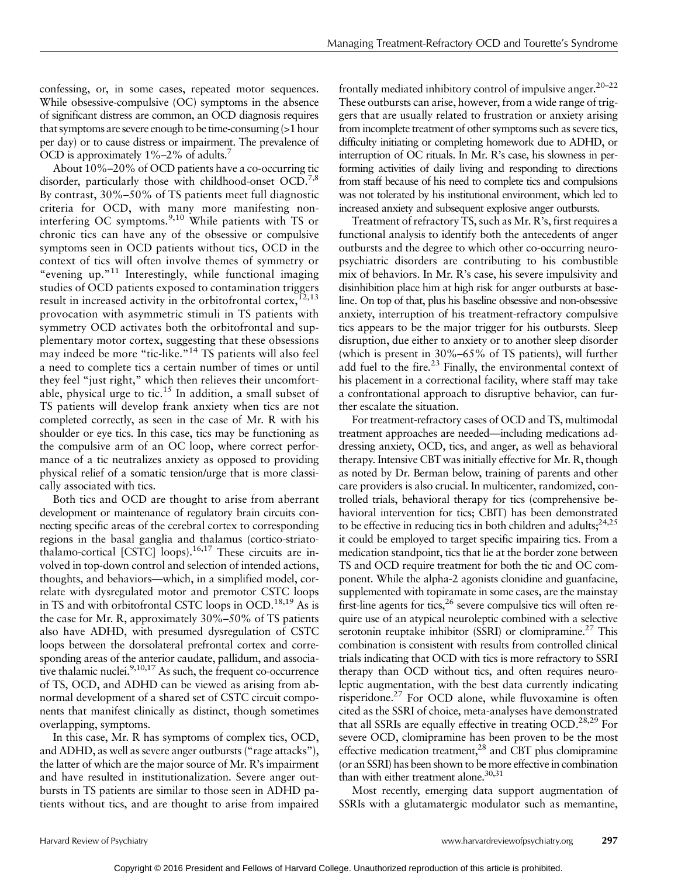confessing, or, in some cases, repeated motor sequences. While obsessive-compulsive (OC) symptoms in the absence of significant distress are common, an OCD diagnosis requires that symptoms are severe enough to be time-consuming (>1 hour per day) or to cause distress or impairment. The prevalence of OCD is approximately 1%–2% of adults.<sup>7</sup>

About 10%–20% of OCD patients have a co-occurring tic disorder, particularly those with childhood-onset  $OCD.^{7,8}$ By contrast, 30%–50% of TS patients meet full diagnostic criteria for OCD, with many more manifesting noninterfering OC symptoms. $9,10$  While patients with TS or chronic tics can have any of the obsessive or compulsive symptoms seen in OCD patients without tics, OCD in the context of tics will often involve themes of symmetry or "evening up."<sup>11</sup> Interestingly, while functional imaging studies of OCD patients exposed to contamination triggers result in increased activity in the orbitofrontal cortex,  $12,13$ provocation with asymmetric stimuli in TS patients with symmetry OCD activates both the orbitofrontal and supplementary motor cortex, suggesting that these obsessions may indeed be more "tic-like."<sup>14</sup> TS patients will also feel a need to complete tics a certain number of times or until they feel "just right," which then relieves their uncomfortable, physical urge to tic.<sup>15</sup> In addition, a small subset of TS patients will develop frank anxiety when tics are not completed correctly, as seen in the case of Mr. R with his shoulder or eye tics. In this case, tics may be functioning as the compulsive arm of an OC loop, where correct performance of a tic neutralizes anxiety as opposed to providing physical relief of a somatic tension/urge that is more classically associated with tics.

Both tics and OCD are thought to arise from aberrant development or maintenance of regulatory brain circuits connecting specific areas of the cerebral cortex to corresponding regions in the basal ganglia and thalamus (cortico-striatothalamo-cortical [CSTC] loops).<sup>16,17</sup> These circuits are involved in top-down control and selection of intended actions, thoughts, and behaviors—which, in a simplified model, correlate with dysregulated motor and premotor CSTC loops in TS and with orbitofrontal CSTC loops in OCD.<sup>18,19</sup> As is the case for Mr. R, approximately 30%–50% of TS patients also have ADHD, with presumed dysregulation of CSTC loops between the dorsolateral prefrontal cortex and corresponding areas of the anterior caudate, pallidum, and associative thalamic nuclei.<sup>9,10,17</sup> As such, the frequent co-occurrence of TS, OCD, and ADHD can be viewed as arising from abnormal development of a shared set of CSTC circuit components that manifest clinically as distinct, though sometimes overlapping, symptoms.

In this case, Mr. R has symptoms of complex tics, OCD, and ADHD, as well as severe anger outbursts ("rage attacks"), the latter of which are the major source of Mr. R's impairment and have resulted in institutionalization. Severe anger outbursts in TS patients are similar to those seen in ADHD patients without tics, and are thought to arise from impaired

frontally mediated inhibitory control of impulsive anger.<sup>20–22</sup> These outbursts can arise, however, from a wide range of triggers that are usually related to frustration or anxiety arising from incomplete treatment of other symptoms such as severe tics, difficulty initiating or completing homework due to ADHD, or interruption of OC rituals. In Mr. R's case, his slowness in performing activities of daily living and responding to directions from staff because of his need to complete tics and compulsions was not tolerated by his institutional environment, which led to increased anxiety and subsequent explosive anger outbursts.

Treatment of refractory TS, such as Mr. R's, first requires a functional analysis to identify both the antecedents of anger outbursts and the degree to which other co-occurring neuropsychiatric disorders are contributing to his combustible mix of behaviors. In Mr. R's case, his severe impulsivity and disinhibition place him at high risk for anger outbursts at baseline. On top of that, plus his baseline obsessive and non-obsessive anxiety, interruption of his treatment-refractory compulsive tics appears to be the major trigger for his outbursts. Sleep disruption, due either to anxiety or to another sleep disorder (which is present in 30%–65% of TS patients), will further add fuel to the fire. $^{23}$  Finally, the environmental context of his placement in a correctional facility, where staff may take a confrontational approach to disruptive behavior, can further escalate the situation.

For treatment-refractory cases of OCD and TS, multimodal treatment approaches are needed—including medications addressing anxiety, OCD, tics, and anger, as well as behavioral therapy. Intensive CBT was initially effective for Mr. R, though as noted by Dr. Berman below, training of parents and other care providers is also crucial. In multicenter, randomized, controlled trials, behavioral therapy for tics (comprehensive behavioral intervention for tics; CBIT) has been demonstrated to be effective in reducing tics in both children and adults;<sup>24,25</sup> it could be employed to target specific impairing tics. From a medication standpoint, tics that lie at the border zone between TS and OCD require treatment for both the tic and OC component. While the alpha-2 agonists clonidine and guanfacine, supplemented with topiramate in some cases, are the mainstay first-line agents for tics,  $2^6$  severe compulsive tics will often require use of an atypical neuroleptic combined with a selective serotonin reuptake inhibitor  $(SSRI)$  or clomipramine.<sup>27</sup> This combination is consistent with results from controlled clinical trials indicating that OCD with tics is more refractory to SSRI therapy than OCD without tics, and often requires neuroleptic augmentation, with the best data currently indicating risperidone.<sup>27</sup> For OCD alone, while fluvoxamine is often cited as the SSRI of choice, meta-analyses have demonstrated that all SSRIs are equally effective in treating  $OCD$ <sup>28,29</sup> For severe OCD, clomipramine has been proven to be the most effective medication treatment, $^{28}$  and CBT plus clomipramine (or an SSRI) has been shown to be more effective in combination than with either treatment alone. $30,31$ 

Most recently, emerging data support augmentation of SSRIs with a glutamatergic modulator such as memantine,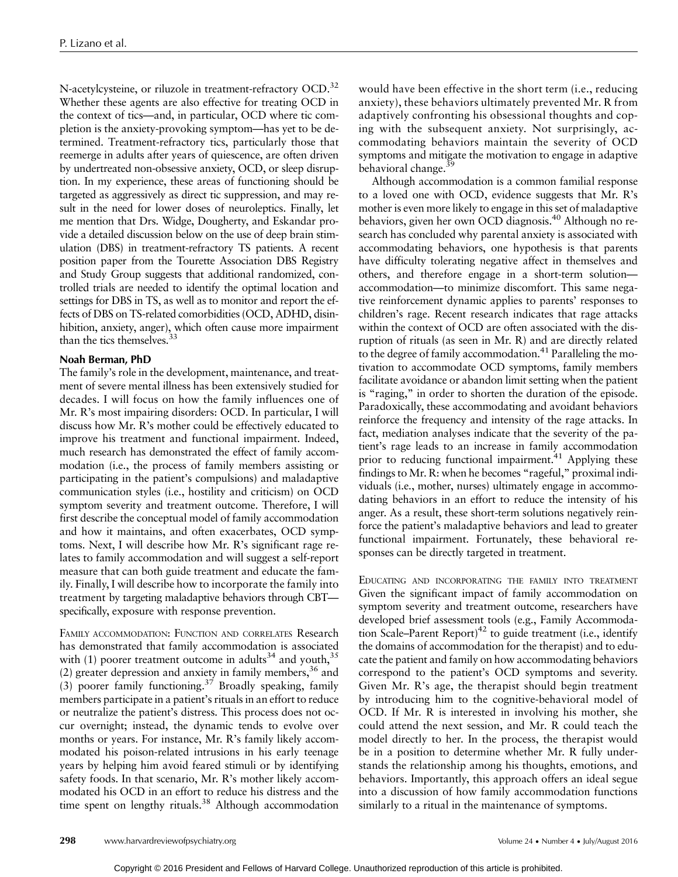N-acetylcysteine, or riluzole in treatment-refractory OCD.<sup>32</sup> Whether these agents are also effective for treating OCD in the context of tics—and, in particular, OCD where tic completion is the anxiety-provoking symptom—has yet to be determined. Treatment-refractory tics, particularly those that reemerge in adults after years of quiescence, are often driven by undertreated non-obsessive anxiety, OCD, or sleep disruption. In my experience, these areas of functioning should be targeted as aggressively as direct tic suppression, and may result in the need for lower doses of neuroleptics. Finally, let me mention that Drs. Widge, Dougherty, and Eskandar provide a detailed discussion below on the use of deep brain stimulation (DBS) in treatment-refractory TS patients. A recent position paper from the Tourette Association DBS Registry and Study Group suggests that additional randomized, controlled trials are needed to identify the optimal location and settings for DBS in TS, as well as to monitor and report the effects of DBS on TS-related comorbidities (OCD, ADHD, disinhibition, anxiety, anger), which often cause more impairment than the tics themselves.<sup>33</sup>

#### Noah Berman, PhD

The family's role in the development, maintenance, and treatment of severe mental illness has been extensively studied for decades. I will focus on how the family influences one of Mr. R's most impairing disorders: OCD. In particular, I will discuss how Mr. R's mother could be effectively educated to improve his treatment and functional impairment. Indeed, much research has demonstrated the effect of family accommodation (i.e., the process of family members assisting or participating in the patient's compulsions) and maladaptive communication styles (i.e., hostility and criticism) on OCD symptom severity and treatment outcome. Therefore, I will first describe the conceptual model of family accommodation and how it maintains, and often exacerbates, OCD symptoms. Next, I will describe how Mr. R's significant rage relates to family accommodation and will suggest a self-report measure that can both guide treatment and educate the family. Finally, I will describe how to incorporate the family into treatment by targeting maladaptive behaviors through CBT specifically, exposure with response prevention.

FAMILY ACCOMMODATION: FUNCTION AND CORRELATES Research has demonstrated that family accommodation is associated with (1) poorer treatment outcome in adults<sup>34</sup> and youth,  $35$ (2) greater depression and anxiety in family members,  $36$  and (3) poorer family functioning.<sup>37</sup> Broadly speaking, family members participate in a patient's rituals in an effort to reduce or neutralize the patient's distress. This process does not occur overnight; instead, the dynamic tends to evolve over months or years. For instance, Mr. R's family likely accommodated his poison-related intrusions in his early teenage years by helping him avoid feared stimuli or by identifying safety foods. In that scenario, Mr. R's mother likely accommodated his OCD in an effort to reduce his distress and the time spent on lengthy rituals.<sup>38</sup> Although accommodation

would have been effective in the short term (i.e., reducing anxiety), these behaviors ultimately prevented Mr. R from adaptively confronting his obsessional thoughts and coping with the subsequent anxiety. Not surprisingly, accommodating behaviors maintain the severity of OCD symptoms and mitigate the motivation to engage in adaptive behavioral change.<sup>39</sup>

Although accommodation is a common familial response to a loved one with OCD, evidence suggests that Mr. R's mother is even more likely to engage in this set of maladaptive behaviors, given her own OCD diagnosis.<sup>40</sup> Although no research has concluded why parental anxiety is associated with accommodating behaviors, one hypothesis is that parents have difficulty tolerating negative affect in themselves and others, and therefore engage in a short-term solution accommodation—to minimize discomfort. This same negative reinforcement dynamic applies to parents' responses to children's rage. Recent research indicates that rage attacks within the context of OCD are often associated with the disruption of rituals (as seen in Mr. R) and are directly related to the degree of family accommodation.<sup>41</sup> Paralleling the motivation to accommodate OCD symptoms, family members facilitate avoidance or abandon limit setting when the patient is "raging," in order to shorten the duration of the episode. Paradoxically, these accommodating and avoidant behaviors reinforce the frequency and intensity of the rage attacks. In fact, mediation analyses indicate that the severity of the patient's rage leads to an increase in family accommodation prior to reducing functional impairment.<sup>41</sup> Applying these findings to Mr. R: when he becomes "rageful," proximal individuals (i.e., mother, nurses) ultimately engage in accommodating behaviors in an effort to reduce the intensity of his anger. As a result, these short-term solutions negatively reinforce the patient's maladaptive behaviors and lead to greater functional impairment. Fortunately, these behavioral responses can be directly targeted in treatment.

EDUCATING AND INCORPORATING THE FAMILY INTO TREATMENT Given the significant impact of family accommodation on symptom severity and treatment outcome, researchers have developed brief assessment tools (e.g., Family Accommodation Scale–Parent Report)<sup>42</sup> to guide treatment (i.e., identify the domains of accommodation for the therapist) and to educate the patient and family on how accommodating behaviors correspond to the patient's OCD symptoms and severity. Given Mr. R's age, the therapist should begin treatment by introducing him to the cognitive-behavioral model of OCD. If Mr. R is interested in involving his mother, she could attend the next session, and Mr. R could teach the model directly to her. In the process, the therapist would be in a position to determine whether Mr. R fully understands the relationship among his thoughts, emotions, and behaviors. Importantly, this approach offers an ideal segue into a discussion of how family accommodation functions similarly to a ritual in the maintenance of symptoms.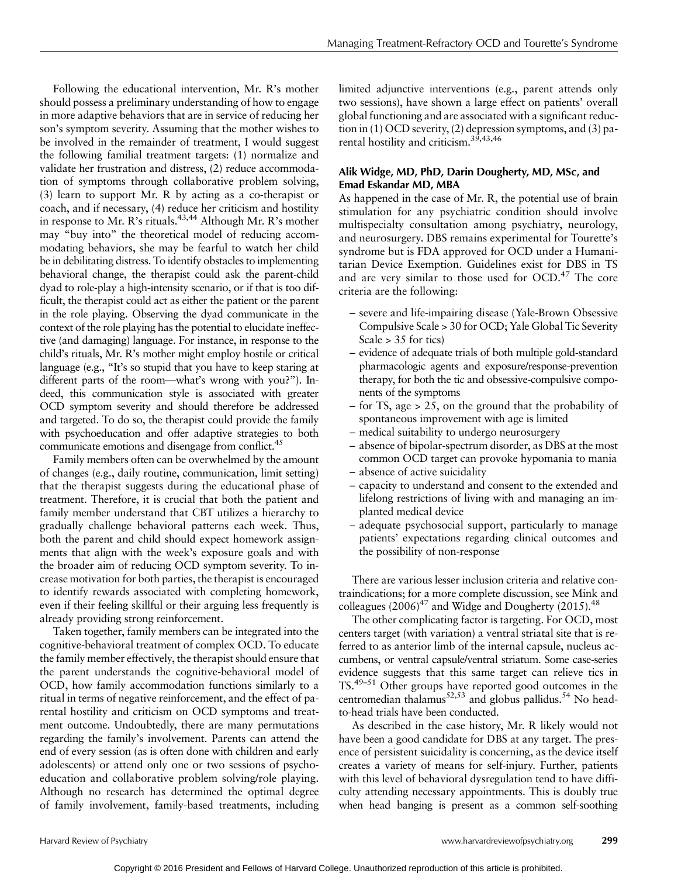Following the educational intervention, Mr. R's mother should possess a preliminary understanding of how to engage in more adaptive behaviors that are in service of reducing her son's symptom severity. Assuming that the mother wishes to be involved in the remainder of treatment, I would suggest the following familial treatment targets: (1) normalize and validate her frustration and distress, (2) reduce accommodation of symptoms through collaborative problem solving, (3) learn to support Mr. R by acting as a co-therapist or coach, and if necessary, (4) reduce her criticism and hostility in response to Mr. R's rituals.<sup>43,44</sup> Although Mr. R's mother may "buy into" the theoretical model of reducing accommodating behaviors, she may be fearful to watch her child be in debilitating distress. To identify obstacles to implementing behavioral change, the therapist could ask the parent-child dyad to role-play a high-intensity scenario, or if that is too difficult, the therapist could act as either the patient or the parent in the role playing. Observing the dyad communicate in the context of the role playing has the potential to elucidate ineffective (and damaging) language. For instance, in response to the child's rituals, Mr. R's mother might employ hostile or critical language (e.g., "It's so stupid that you have to keep staring at different parts of the room—what's wrong with you?"). Indeed, this communication style is associated with greater OCD symptom severity and should therefore be addressed and targeted. To do so, the therapist could provide the family with psychoeducation and offer adaptive strategies to both communicate emotions and disengage from conflict.<sup>45</sup>

Family members often can be overwhelmed by the amount of changes (e.g., daily routine, communication, limit setting) that the therapist suggests during the educational phase of treatment. Therefore, it is crucial that both the patient and family member understand that CBT utilizes a hierarchy to gradually challenge behavioral patterns each week. Thus, both the parent and child should expect homework assignments that align with the week's exposure goals and with the broader aim of reducing OCD symptom severity. To increase motivation for both parties, the therapist is encouraged to identify rewards associated with completing homework, even if their feeling skillful or their arguing less frequently is already providing strong reinforcement.

Taken together, family members can be integrated into the cognitive-behavioral treatment of complex OCD. To educate the family member effectively, the therapist should ensure that the parent understands the cognitive-behavioral model of OCD, how family accommodation functions similarly to a ritual in terms of negative reinforcement, and the effect of parental hostility and criticism on OCD symptoms and treatment outcome. Undoubtedly, there are many permutations regarding the family's involvement. Parents can attend the end of every session (as is often done with children and early adolescents) or attend only one or two sessions of psychoeducation and collaborative problem solving/role playing. Although no research has determined the optimal degree of family involvement, family-based treatments, including limited adjunctive interventions (e.g., parent attends only two sessions), have shown a large effect on patients' overall global functioning and are associated with a significant reduction in (1) OCD severity, (2) depression symptoms, and (3) parental hostility and criticism.<sup>39,43,46</sup>

### Alik Widge, MD, PhD, Darin Dougherty, MD, MSc, and Emad Eskandar MD, MBA

As happened in the case of Mr. R, the potential use of brain stimulation for any psychiatric condition should involve multispecialty consultation among psychiatry, neurology, and neurosurgery. DBS remains experimental for Tourette's syndrome but is FDA approved for OCD under a Humanitarian Device Exemption. Guidelines exist for DBS in TS and are very similar to those used for OCD.<sup>47</sup> The core criteria are the following:

- severe and life-impairing disease (Yale-Brown Obsessive Compulsive Scale > 30 for OCD; Yale Global Tic Severity Scale > 35 for tics)
- evidence of adequate trials of both multiple gold-standard pharmacologic agents and exposure/response-prevention therapy, for both the tic and obsessive-compulsive components of the symptoms
- for TS, age > 25, on the ground that the probability of spontaneous improvement with age is limited
- medical suitability to undergo neurosurgery
- absence of bipolar-spectrum disorder, as DBS at the most common OCD target can provoke hypomania to mania
- absence of active suicidality
- capacity to understand and consent to the extended and lifelong restrictions of living with and managing an implanted medical device
- adequate psychosocial support, particularly to manage patients' expectations regarding clinical outcomes and the possibility of non-response

There are various lesser inclusion criteria and relative contraindications; for a more complete discussion, see Mink and colleagues  $(2006)^{47}$  and Widge and Dougherty  $(2015)^{48}$ 

The other complicating factor is targeting. For OCD, most centers target (with variation) a ventral striatal site that is referred to as anterior limb of the internal capsule, nucleus accumbens, or ventral capsule/ventral striatum. Some case-series evidence suggests that this same target can relieve tics in TS.49–<sup>51</sup> Other groups have reported good outcomes in the centromedian thalamus<sup>52,53</sup> and globus pallidus.<sup>54</sup> No headto-head trials have been conducted.

As described in the case history, Mr. R likely would not have been a good candidate for DBS at any target. The presence of persistent suicidality is concerning, as the device itself creates a variety of means for self-injury. Further, patients with this level of behavioral dysregulation tend to have difficulty attending necessary appointments. This is doubly true when head banging is present as a common self-soothing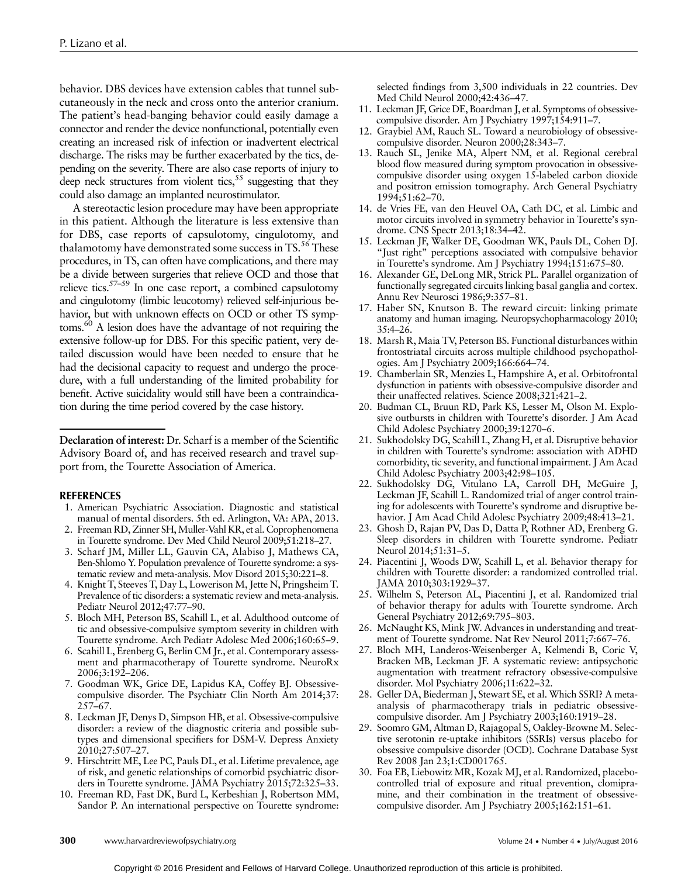behavior. DBS devices have extension cables that tunnel subcutaneously in the neck and cross onto the anterior cranium. The patient's head-banging behavior could easily damage a connector and render the device nonfunctional, potentially even creating an increased risk of infection or inadvertent electrical discharge. The risks may be further exacerbated by the tics, depending on the severity. There are also case reports of injury to deep neck structures from violent tics,  $55$  suggesting that they could also damage an implanted neurostimulator.

A stereotactic lesion procedure may have been appropriate in this patient. Although the literature is less extensive than for DBS, case reports of capsulotomy, cingulotomy, and thalamotomy have demonstrated some success in TS.<sup>56</sup> These procedures, in TS, can often have complications, and there may be a divide between surgeries that relieve OCD and those that relieve tics. $57-59$  In one case report, a combined capsulotomy and cingulotomy (limbic leucotomy) relieved self-injurious behavior, but with unknown effects on OCD or other TS symptoms.60 A lesion does have the advantage of not requiring the extensive follow-up for DBS. For this specific patient, very detailed discussion would have been needed to ensure that he had the decisional capacity to request and undergo the procedure, with a full understanding of the limited probability for benefit. Active suicidality would still have been a contraindication during the time period covered by the case history.

Declaration of interest: Dr. Scharf is a member of the Scientific Advisory Board of, and has received research and travel support from, the Tourette Association of America.

#### REFERENCES

- 1. American Psychiatric Association. Diagnostic and statistical manual of mental disorders. 5th ed. Arlington, VA: APA, 2013.
- 2. Freeman RD, Zinner SH, Muller-Vahl KR, et al. Coprophenomena in Tourette syndrome. Dev Med Child Neurol 2009;51:218–27.
- 3. Scharf JM, Miller LL, Gauvin CA, Alabiso J, Mathews CA, Ben-Shlomo Y. Population prevalence of Tourette syndrome: a systematic review and meta-analysis. Mov Disord 2015;30:221–8.
- 4. Knight T, Steeves T, Day L, Lowerison M, Jette N, Pringsheim T. Prevalence of tic disorders: a systematic review and meta-analysis. Pediatr Neurol 2012;47:77–90.
- 5. Bloch MH, Peterson BS, Scahill L, et al. Adulthood outcome of tic and obsessive-compulsive symptom severity in children with Tourette syndrome. Arch Pediatr Adolesc Med 2006;160:65–9.
- 6. Scahill L, Erenberg G, Berlin CM Jr., et al. Contemporary assessment and pharmacotherapy of Tourette syndrome. NeuroRx 2006;3:192–206.
- 7. Goodman WK, Grice DE, Lapidus KA, Coffey BJ. Obsessivecompulsive disorder. The Psychiatr Clin North Am 2014;37: 257–67.
- 8. Leckman JF, Denys D, Simpson HB, et al. Obsessive-compulsive disorder: a review of the diagnostic criteria and possible subtypes and dimensional specifiers for DSM-V. Depress Anxiety 2010;27:507–27.
- 9. Hirschtritt ME, Lee PC, Pauls DL, et al. Lifetime prevalence, age of risk, and genetic relationships of comorbid psychiatric disorders in Tourette syndrome. JAMA Psychiatry 2015;72:325–33.
- 10. Freeman RD, Fast DK, Burd L, Kerbeshian J, Robertson MM, Sandor P. An international perspective on Tourette syndrome:

selected findings from 3,500 individuals in 22 countries. Dev Med Child Neurol 2000;42:436–47.

- 11. Leckman JF, Grice DE, Boardman J, et al. Symptoms of obsessivecompulsive disorder. Am J Psychiatry 1997;154:911–7.
- 12. Graybiel AM, Rauch SL. Toward a neurobiology of obsessivecompulsive disorder. Neuron 2000;28:343–7.
- 13. Rauch SL, Jenike MA, Alpert NM, et al. Regional cerebral blood flow measured during symptom provocation in obsessivecompulsive disorder using oxygen 15-labeled carbon dioxide and positron emission tomography. Arch General Psychiatry 1994;51:62–70.
- 14. de Vries FE, van den Heuvel OA, Cath DC, et al. Limbic and motor circuits involved in symmetry behavior in Tourette's syndrome. CNS Spectr 2013;18:34–42.
- 15. Leckman JF, Walker DE, Goodman WK, Pauls DL, Cohen DJ. "Just right" perceptions associated with compulsive behavior in Tourette's syndrome. Am J Psychiatry 1994;151:675–80.
- 16. Alexander GE, DeLong MR, Strick PL. Parallel organization of functionally segregated circuits linking basal ganglia and cortex. Annu Rev Neurosci 1986;9:357–81.
- 17. Haber SN, Knutson B. The reward circuit: linking primate anatomy and human imaging. Neuropsychopharmacology 2010; 35:4–26.
- 18. Marsh R, Maia TV, Peterson BS. Functional disturbances within frontostriatal circuits across multiple childhood psychopathologies. Am J Psychiatry 2009;166:664–74.
- 19. Chamberlain SR, Menzies L, Hampshire A, et al. Orbitofrontal dysfunction in patients with obsessive-compulsive disorder and their unaffected relatives. Science 2008;321:421–2.
- 20. Budman CL, Bruun RD, Park KS, Lesser M, Olson M. Explosive outbursts in children with Tourette's disorder. J Am Acad Child Adolesc Psychiatry 2000;39:1270–6.
- 21. Sukhodolsky DG, Scahill L, Zhang H, et al. Disruptive behavior in children with Tourette's syndrome: association with ADHD comorbidity, tic severity, and functional impairment. J Am Acad Child Adolesc Psychiatry 2003;42:98–105.
- 22. Sukhodolsky DG, Vitulano LA, Carroll DH, McGuire J, Leckman JF, Scahill L. Randomized trial of anger control training for adolescents with Tourette's syndrome and disruptive behavior. J Am Acad Child Adolesc Psychiatry 2009;48:413-21.
- 23. Ghosh D, Rajan PV, Das D, Datta P, Rothner AD, Erenberg G. Sleep disorders in children with Tourette syndrome. Pediatr Neurol 2014;51:31–5.
- 24. Piacentini J, Woods DW, Scahill L, et al. Behavior therapy for children with Tourette disorder: a randomized controlled trial. JAMA 2010;303:1929–37.
- 25. Wilhelm S, Peterson AL, Piacentini J, et al. Randomized trial of behavior therapy for adults with Tourette syndrome. Arch General Psychiatry 2012;69:795–803.
- 26. McNaught KS, Mink JW. Advances in understanding and treatment of Tourette syndrome. Nat Rev Neurol 2011;7:667–76.
- 27. Bloch MH, Landeros-Weisenberger A, Kelmendi B, Coric V, Bracken MB, Leckman JF. A systematic review: antipsychotic augmentation with treatment refractory obsessive-compulsive disorder. Mol Psychiatry 2006;11:622–32.
- 28. Geller DA, Biederman J, Stewart SE, et al. Which SSRI? A metaanalysis of pharmacotherapy trials in pediatric obsessivecompulsive disorder. Am J Psychiatry 2003;160:1919–28.
- 29. Soomro GM, Altman D, Rajagopal S, Oakley-Browne M. Selective serotonin re-uptake inhibitors (SSRIs) versus placebo for obsessive compulsive disorder (OCD). Cochrane Database Syst Rev 2008 Jan 23;1:CD001765.
- 30. Foa EB, Liebowitz MR, Kozak MJ, et al. Randomized, placebocontrolled trial of exposure and ritual prevention, clomipramine, and their combination in the treatment of obsessivecompulsive disorder. Am J Psychiatry 2005;162:151–61.